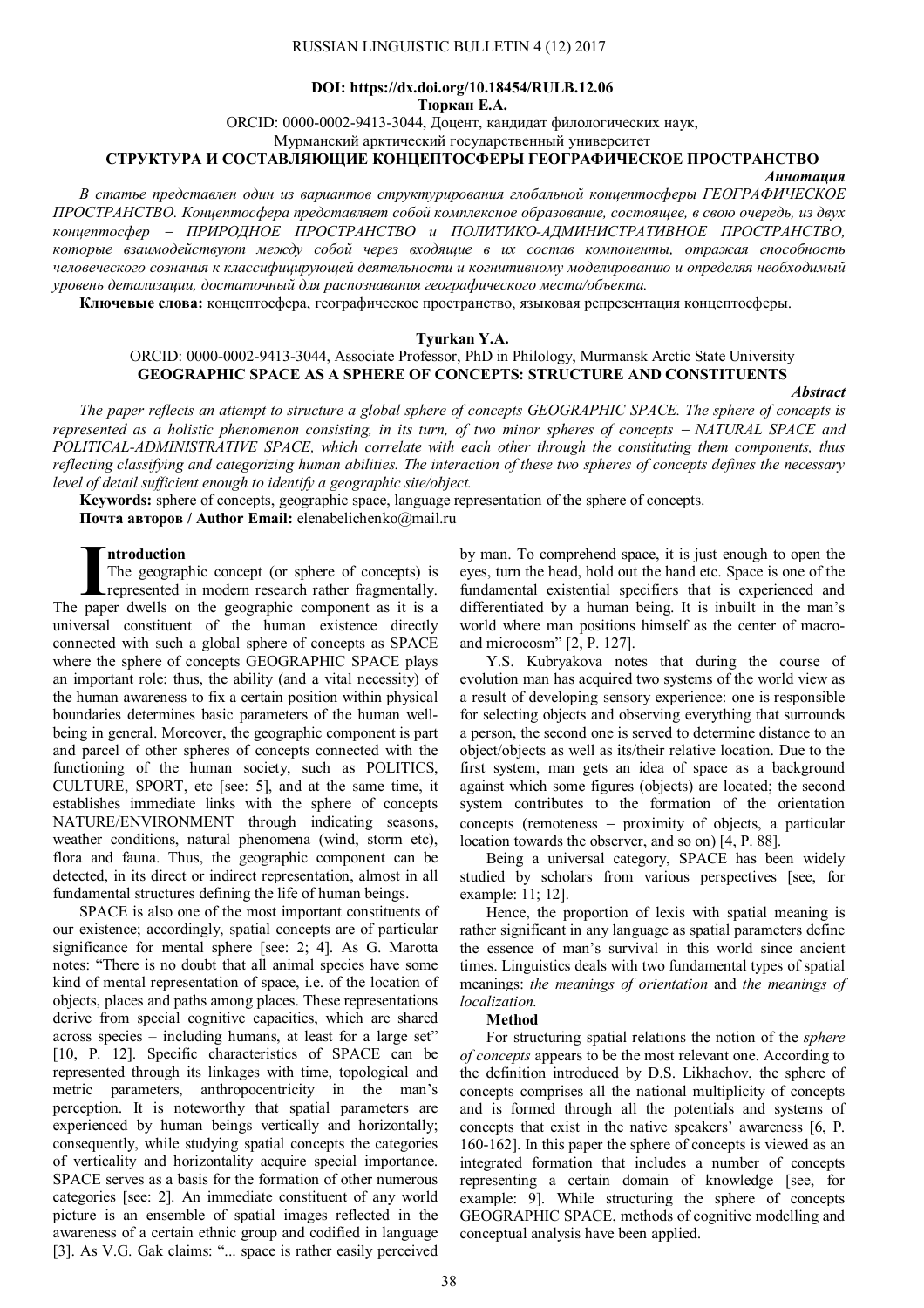### **DOI: https://dx.doi.org/10.18454/RULB.12.06 Тюркан Е.А.**

ORCID: 0000-0002-9413-3044, Доцент, кандидат филологических наук,

Мурманский арктический государственный университет

## **СТРУКТУРА И СОСТАВЛЯЮЩИЕ КОНЦЕПТОСФЕРЫ ГЕОГРАФИЧЕСКОЕ ПРОСТРАНСТВО**

#### *Аннотация*

*В статье представлен один из вариантов структурирования глобальной концептосферы ГЕОГРАФИЧЕСКОЕ ПРОСТРАНСТВО. Концептосфера представляет собой комплексное образование, состоящее, в свою очередь, из двух концептосфер ПРИРОДНОЕ ПРОСТРАНСТВО и ПОЛИТИКО-АДМИНИСТРАТИВНОЕ ПРОСТРАНСТВО, которые взаимодействуют между собой через входящие в их состав компоненты, отражая способность человеческого сознания к классифицирующей деятельности и когнитивному моделированию и определяя необходимый уровень детализации, достаточный для распознавания географического места/объекта.*

**Ключевые слова:** концептосфера, географическое пространство, языковая репрезентация концептосферы.

## **Tyurkan Y.A.**

# ORCID: 0000-0002-9413-3044, Associate Professor, PhD in Philology, Murmansk Arctic State University **GEOGRAPHIC SPACE AS A SPHERE OF CONCEPTS: STRUCTURE AND CONSTITUENTS**

*Abstract*

*The paper reflects an attempt to structure a global sphere of concepts GEOGRAPHIC SPACE. The sphere of concepts is represented as a holistic phenomenon consisting, in its turn, of two minor spheres of concepts – NATURAL SPACE and POLITICAL-ADMINISTRATIVE SPACE, which correlate with each other through the constituting them components, thus reflecting classifying and categorizing human abilities. The interaction of these two spheres of concepts defines the necessary level of detail sufficient enough to identify a geographic site/object.*

**Keywords:** sphere of concepts, geographic space, language representation of the sphere of concepts. **Почта авторов / Author Email:** elenabelichenko@mail.ru

### **ntroduction**

The geographic concept (or sphere of concepts) is represented in modern research rather fragmentally. The geographic concept (or sphere of concepts) is<br>represented in modern research rather fragmentally.<br>The paper dwells on the geographic component as it is a universal constituent of the human existence directly connected with such a global sphere of concepts as SPACE where the sphere of concepts GEOGRAPHIC SPACE plays an important role: thus, the ability (and a vital necessity) of the human awareness to fix a certain position within physical boundaries determines basic parameters of the human wellbeing in general. Moreover, the geographic component is part and parcel of other spheres of concepts connected with the functioning of the human society, such as POLITICS, CULTURE, SPORT, etc [see: 5], and at the same time, it establishes immediate links with the sphere of concepts NATURE/ENVIRONMENT through indicating seasons, weather conditions, natural phenomena (wind, storm etc), flora and fauna. Thus, the geographic component can be detected, in its direct or indirect representation, almost in all fundamental structures defining the life of human beings.

SPACE is also one of the most important constituents of our existence; accordingly, spatial concepts are of particular significance for mental sphere [see: 2; 4]. As G. Marotta notes: "There is no doubt that all animal species have some kind of mental representation of space, i.e. of the location of objects, places and paths among places. These representations derive from special cognitive capacities, which are shared across species – including humans, at least for a large set" [10, P. 12]. Specific characteristics of SPACE can be represented through its linkages with time, topological and metric parameters, anthropocentricity in the man's perception. It is noteworthy that spatial parameters are experienced by human beings vertically and horizontally; consequently, while studying spatial concepts the categories of verticality and horizontality acquire special importance. SPACE serves as a basis for the formation of other numerous categories [see: 2]. An immediate constituent of any world picture is an ensemble of spatial images reflected in the awareness of a certain ethnic group and codified in language [3]. As V.G. Gak claims: "... space is rather easily perceived

by man. To comprehend space, it is just enough to open the eyes, turn the head, hold out the hand etc. Space is one of the fundamental existential specifiers that is experienced and differentiated by a human being. It is inbuilt in the man's world where man positions himself as the center of macroand microcosm" [2, P. 127].

Y.S. Kubryakova notes that during the course of evolution man has acquired two systems of the world view as a result of developing sensory experience: one is responsible for selecting objects and observing everything that surrounds a person, the second one is served to determine distance to an object/objects as well as its/their relative location. Due to the first system, man gets an idea of space as a background against which some figures (objects) are located; the second system contributes to the formation of the orientation concepts (remoteness  $-$  proximity of objects, a particular location towards the observer, and so on) [4, P. 88].

Being a universal category, SPACE has been widely studied by scholars from various perspectives [see, for example: 11; 12].

Hence, the proportion of lexis with spatial meaning is rather significant in any language as spatial parameters define the essence of man's survival in this world since ancient times. Linguistics deals with two fundamental types of spatial meanings: *the meanings of orientation* and *the meanings of localization.*

#### **Method**

For structuring spatial relations the notion of the *sphere of concepts* appears to be the most relevant one. According to the definition introduced by D.S. Likhachov, the sphere of concepts comprises all the national multiplicity of concepts and is formed through all the potentials and systems of concepts that exist in the native speakers' awareness [6, P. 160-162]. In this paper the sphere of concepts is viewed as an integrated formation that includes a number of concepts representing a certain domain of knowledge [see, for example: 9]. While structuring the sphere of concepts GEOGRAPHIC SPACE, methods of cognitive modelling and conceptual analysis have been applied.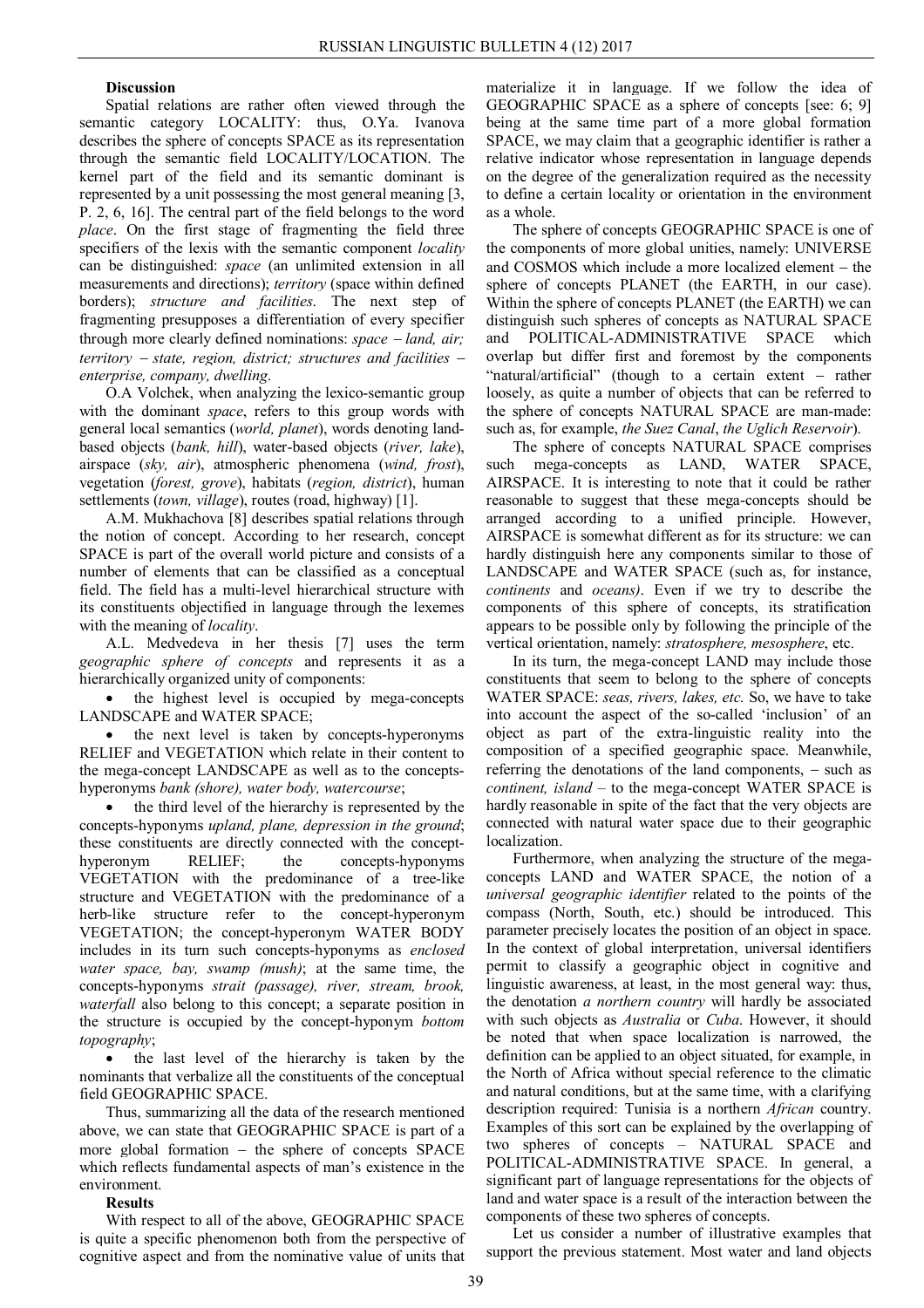## **Discussion**

Spatial relations are rather often viewed through the semantic category LOCALITY: thus, O.Ya. Ivanova describes the sphere of concepts SPACE as its representation through the semantic field LOCALITY/LOCATION. The kernel part of the field and its semantic dominant is represented by a unit possessing the most general meaning [3, P. 2, 6, 16]. The central part of the field belongs to the word *place*. On the first stage of fragmenting the field three specifiers of the lexis with the semantic component *locality* can be distinguished: *space* (an unlimited extension in all measurements and directions); *territory* (space within defined borders); *structure and facilities*. The next step of fragmenting presupposes a differentiation of every specifier through more clearly defined nominations: *space* - land, air; *territory state, region, district; structures and facilities enterprise, company, dwelling*.

O.A Volchek, when analyzing the lexico-semantic group with the dominant *space*, refers to this group words with general local semantics (*world, planet*), words denoting landbased objects (*bank, hill*), water-based objects (*river, lake*), airspace (*sky, air*), atmospheric phenomena (*wind, frost*), vegetation (*forest, grove*), habitats (*region, district*), human settlements (*town, village*), routes (road, highway) [1].

A.M. Mukhachova [8] describes spatial relations through the notion of concept. According to her research, concept SPACE is part of the overall world picture and consists of a number of elements that can be classified as a conceptual field. The field has a multi-level hierarchical structure with its constituents objectified in language through the lexemes with the meaning of *locality*.

A.L. Medvedeva in her thesis [7] uses the term *geographic sphere of concepts* and represents it as a hierarchically organized unity of components:

• the highest level is occupied by mega-concepts LANDSCAPE and WATER SPACE;

• the next level is taken by concepts-hyperonyms RELIEF and VEGETATION which relate in their content to the mega-concept LANDSCAPE as well as to the conceptshyperonyms *bank (shore), water body, watercourse*;

 the third level of the hierarchy is represented by the concepts-hyponyms *upland, plane, depression in the ground*; these constituents are directly connected with the concepthyperonym RELIEF; the concepts-hyponyms VEGETATION with the predominance of a tree-like structure and VEGETATION with the predominance of a herb-like structure refer to the concept-hyperonym VEGETATION; the concept-hyperonym WATER BODY includes in its turn such concepts-hyponyms as *enclosed water space, bay, swamp (mush)*; at the same time, the concepts-hyponyms *strait (passage), river, stream, brook, waterfall* also belong to this concept; a separate position in the structure is occupied by the concept-hyponym *bottom topography*;

• the last level of the hierarchy is taken by the nominants that verbalize all the constituents of the conceptual field GEOGRAPHIC SPACE.

Thus, summarizing all the data of the research mentioned above, we can state that GEOGRAPHIC SPACE is part of a more global formation  $-$  the sphere of concepts SPACE which reflects fundamental aspects of man's existence in the environment.

#### **Results**

With respect to all of the above, GEOGRAPHIC SPACE is quite a specific phenomenon both from the perspective of cognitive aspect and from the nominative value of units that

materialize it in language. If we follow the idea of GEOGRAPHIC SPACE as a sphere of concepts [see: 6; 9] being at the same time part of a more global formation SPACE, we may claim that a geographic identifier is rather a relative indicator whose representation in language depends on the degree of the generalization required as the necessity to define a certain locality or orientation in the environment as a whole.

The sphere of concepts GEOGRAPHIC SPACE is one of the components of more global unities, namely: UNIVERSE and  $COSMOS$  which include a more localized element  $-$  the sphere of concepts PLANET (the EARTH, in our case). Within the sphere of concepts PLANET (the EARTH) we can distinguish such spheres of concepts as NATURAL SPACE and POLITICAL-ADMINISTRATIVE SPACE which overlap but differ first and foremost by the components "natural/artificial" (though to a certain extent  $-$  rather loosely, as quite a number of objects that can be referred to the sphere of concepts NATURAL SPACE are man-made: such as, for example, *the Suez Canal*, *the Uglich Reservoir*).

The sphere of concepts NATURAL SPACE comprises such mega-concepts as LAND, WATER SPACE, AIRSPACE. It is interesting to note that it could be rather reasonable to suggest that these mega-concepts should be arranged according to a unified principle. However, AIRSPACE is somewhat different as for its structure: we can hardly distinguish here any components similar to those of LANDSCAPE and WATER SPACE (such as, for instance) *continents* and *oceans)*. Even if we try to describe the components of this sphere of concepts, its stratification appears to be possible only by following the principle of the vertical orientation, namely: *stratosphere, mesosphere*, etc.

In its turn, the mega-concept LAND may include those constituents that seem to belong to the sphere of concepts WATER SPACE: *seas, rivers, lakes, etc.* So, we have to take into account the aspect of the so-called 'inclusion' of an object as part of the extra-linguistic reality into the composition of a specified geographic space. Meanwhile, referring the denotations of the land components,  $-$  such as *continent, island* – to the mega-concept WATER SPACE is hardly reasonable in spite of the fact that the very objects are connected with natural water space due to their geographic localization.

Furthermore, when analyzing the structure of the megaconcepts LAND and WATER SPACE, the notion of a *universal geographic identifier* related to the points of the compass (North, South, etc.) should be introduced. This parameter precisely locates the position of an object in space. In the context of global interpretation, universal identifiers permit to classify a geographic object in cognitive and linguistic awareness, at least, in the most general way: thus, the denotation *a northern country* will hardly be associated with such objects as *Australia* or *Cuba*. However, it should be noted that when space localization is narrowed, the definition can be applied to an object situated, for example, in the North of Africa without special reference to the climatic and natural conditions, but at the same time, with a clarifying description required: Tunisia is a northern *African* country. Examples of this sort can be explained by the overlapping of two spheres of concepts – NATURAL SPACE and POLITICAL-ADMINISTRATIVE SPACE. In general, a significant part of language representations for the objects of land and water space is a result of the interaction between the components of these two spheres of concepts.

Let us consider a number of illustrative examples that support the previous statement. Most water and land objects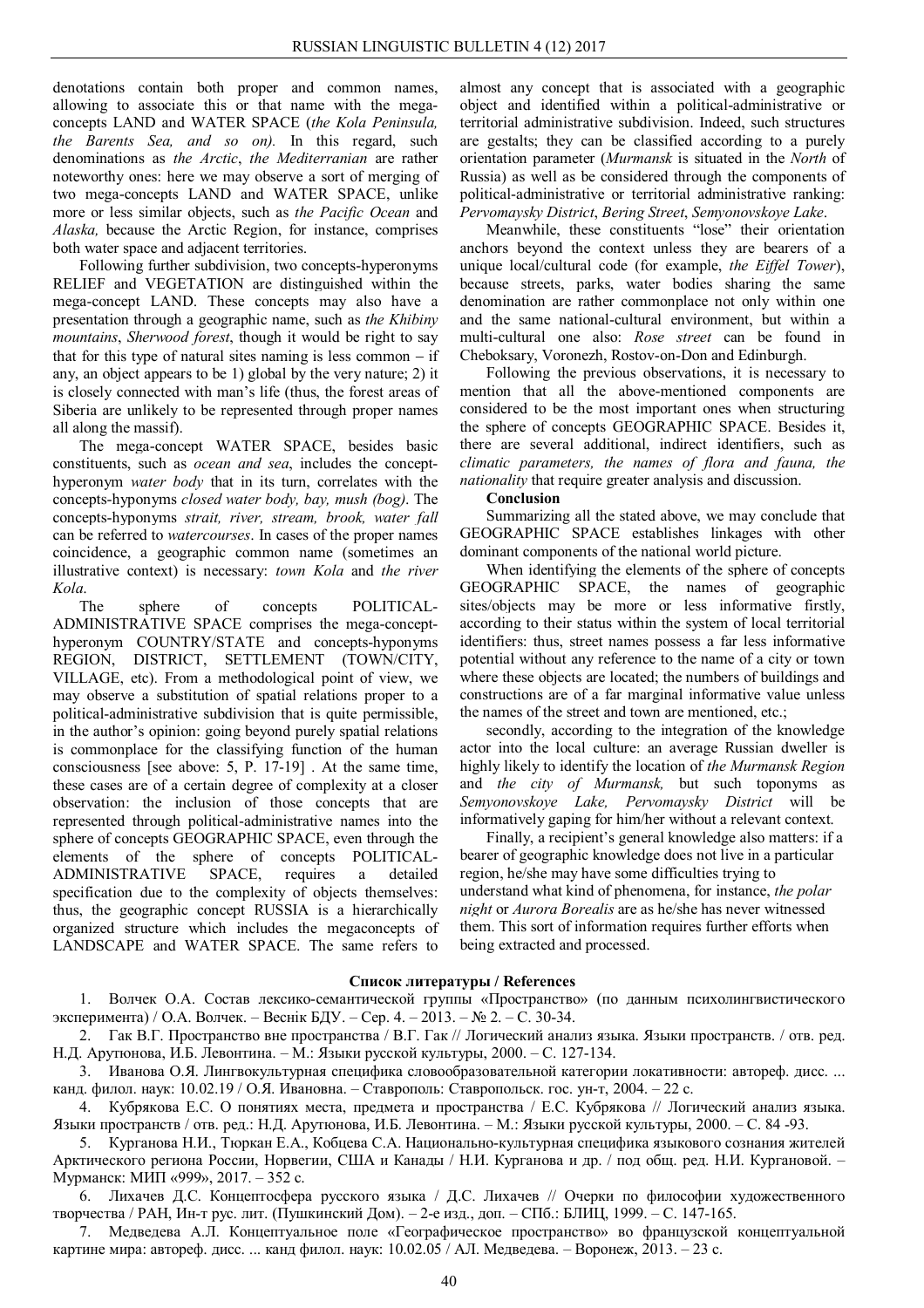denotations contain both proper and common names, allowing to associate this or that name with the megaconcepts LAND and WATER SPACE (*the Kola Peninsula, the Barents Sea, and so on).* In this regard, such denominations as *the Arctic*, *the Mediterranian* are rather noteworthy ones: here we may observe a sort of merging of two mega-concepts LAND and WATER SPACE, unlike more or less similar objects, such as *the Pacific Ocean* and *Alaska,* because the Arctic Region, for instance, comprises both water space and adjacent territories.

Following further subdivision, two concepts-hyperonyms RELIEF and VEGETATION are distinguished within the mega-concept LAND. These concepts may also have a presentation through a geographic name, such as *the Khibiny mountains*, *Sherwood forest*, though it would be right to say that for this type of natural sites naming is less common  $-$  if any, an object appears to be 1) global by the very nature; 2) it is closely connected with man's life (thus, the forest areas of Siberia are unlikely to be represented through proper names all along the massif).

The mega-concept WATER SPACE, besides basic constituents, such as *ocean and sea*, includes the concepthyperonym *water body* that in its turn, correlates with the concepts-hyponyms *closed water body, bay, mush (bog)*. The concepts-hyponyms *strait, river, stream, brook, water fall* can be referred to *watercourses*. In cases of the proper names coincidence, a geographic common name (sometimes an illustrative context) is necessary: *town Kola* and *the river Kola*.

The sphere of concepts POLITICAL-ADMINISTRATIVE SPACE comprises the mega-concepthyperonym COUNTRY/STATE and concepts-hyponyms REGION, DISTRICT, SETTLEMENT (TOWN/CITY, VILLAGE, etc). From a methodological point of view, we may observe a substitution of spatial relations proper to a political-administrative subdivision that is quite permissible, in the author's opinion: going beyond purely spatial relations is commonplace for the classifying function of the human consciousness [see above: 5, P. 17-19] . At the same time, these cases are of a certain degree of complexity at a closer observation: the inclusion of those concepts that are represented through political-administrative names into the sphere of concepts GEOGRAPHIC SPACE, even through the elements of the sphere of concepts POLITICAL-<br>ADMINISTRATIVE SPACE, requires a detailed ADMINISTRATIVE SPACE, requires a specification due to the complexity of objects themselves: thus, the geographic concept RUSSIA is a hierarchically organized structure which includes the megaconcepts of LANDSCAPE and WATER SPACE. The same refers to

almost any concept that is associated with a geographic object and identified within a political-administrative or territorial administrative subdivision. Indeed, such structures are gestalts; they can be classified according to a purely orientation parameter (*Murmansk* is situated in the *North* of Russia) as well as be considered through the components of political-administrative or territorial administrative ranking: *Pervomaysky District*, *Bering Street*, *Semyonovskoye Lake*.

Meanwhile, these constituents "lose" their orientation anchors beyond the context unless they are bearers of a unique local/cultural code (for example, *the Eiffel Tower*), because streets, parks, water bodies sharing the same denomination are rather commonplace not only within one and the same national-cultural environment, but within a multi-cultural one also: *Rose street* can be found in Cheboksary, Voronezh, Rostov-on-Don and Edinburgh.

Following the previous observations, it is necessary to mention that all the above-mentioned components are considered to be the most important ones when structuring the sphere of concepts GEOGRAPHIC SPACE. Besides it, there are several additional, indirect identifiers, such as *climatic parameters, the names of flora and fauna, the nationality* that require greater analysis and discussion.

## **Conclusion**

Summarizing all the stated above, we may conclude that GEOGRAPHIC SPACE establishes linkages with other dominant components of the national world picture.

When identifying the elements of the sphere of concepts GEOGRAPHIC SPACE, the names of geographic sites/objects may be more or less informative firstly, according to their status within the system of local territorial identifiers: thus, street names possess a far less informative potential without any reference to the name of a city or town where these objects are located; the numbers of buildings and constructions are of a far marginal informative value unless the names of the street and town are mentioned, etc.;

secondly, according to the integration of the knowledge actor into the local culture: an average Russian dweller is highly likely to identify the location of *the Murmansk Region* and *the city of Murmansk,* but such toponyms as *Semyonovskoye Lake, Pervomaysky District* will be informatively gaping for him/her without a relevant context.

Finally, a recipient's general knowledge also matters: if a bearer of geographic knowledge does not live in a particular region, he/she may have some difficulties trying to understand what kind of phenomena, for instance, *the polar night* or *Aurora Borealis* are as he/she has never witnessed them. This sort of information requires further efforts when being extracted and processed.

# **Список литературы / References**

1. Волчек О.А. Состав лексико-семантической группы «Пространство» (по данным психолингвистического эксперимента) / О.А. Волчек. – Веснік БДУ. – Сер. 4. – 2013. – № 2. – С. 30-34.

2. Гак В.Г. Пространство вне пространства / В.Г. Гак // Логический анализ языка. Языки пространств. / отв. ред. Н.Д. Арутюнова, И.Б. Левонтина. – М.: Языки русской культуры, 2000. – С. 127-134.

3. Иванова О.Я. Лингвокультурная специфика словообразовательной категории локативности: автореф. дисс. ... канд. филол. наук: 10.02.19 / О.Я. Ивановна. – Ставрополь: Ставропольск. гос. ун-т, 2004. – 22 с.

4. Кубрякова Е.С. О понятиях места, предмета и пространства / Е.С. Кубрякова // Логический анализ языка. Языки пространств / отв. ред.: Н.Д. Арутюнова, И.Б. Левонтина. – М.: Языки русской культуры, 2000. – С. 84 -93.

5. Курганова Н.И., Тюркан Е.А., Кобцева С.А. Национально-культурная специфика языкового сознания жителей Арктического региона России, Норвегии, США и Канады / Н.И. Курганова и др. / под общ. ред. Н.И. Кургановой. – Мурманск: МИП «999», 2017. – 352 с.

6. Лихачев Д.С. Концептосфера русского языка / Д.С. Лихачев // Очерки по философии художественного творчества / РАН, Ин-т рус. лит. (Пушкинский Дом). – 2-е изд., доп. – СПб.: БЛИЦ, 1999. – C. 147-165.

7. Медведева А.Л. Концептуальное поле «Географическое пространство» во французской концептуальной картине мира: автореф. дисс. ... канд филол. наук: 10.02.05 / АЛ. Медведева. – Воронеж, 2013. – 23 с.